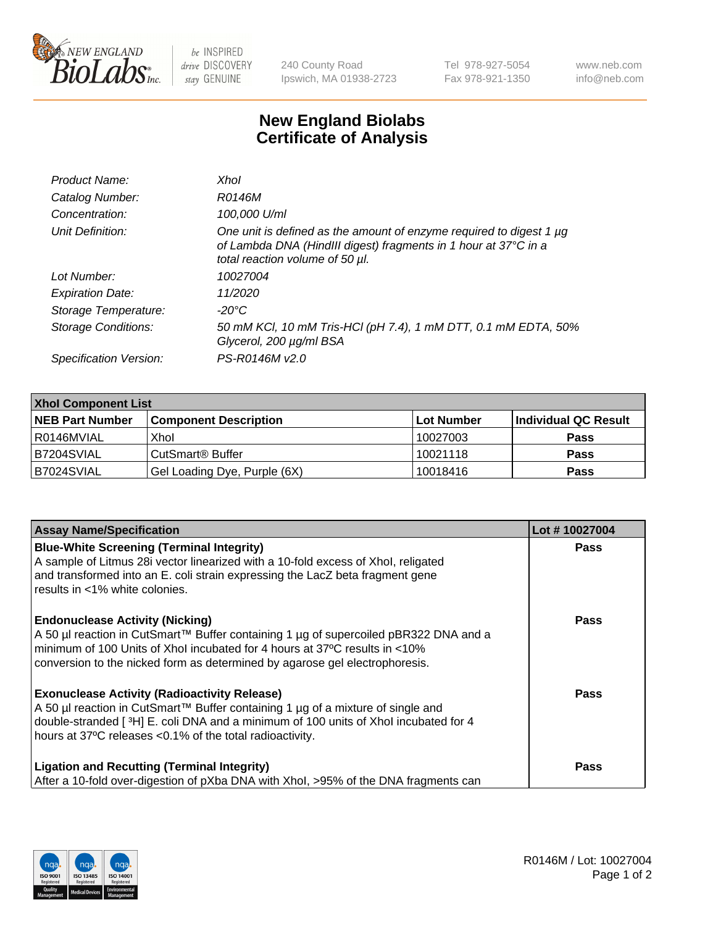

 $be$  INSPIRED drive DISCOVERY stay GENUINE

240 County Road Ipswich, MA 01938-2723 Tel 978-927-5054 Fax 978-921-1350 www.neb.com info@neb.com

## **New England Biolabs Certificate of Analysis**

| Product Name:              | Xhol                                                                                                                                                                      |
|----------------------------|---------------------------------------------------------------------------------------------------------------------------------------------------------------------------|
| Catalog Number:            | R0146M                                                                                                                                                                    |
| Concentration:             | 100,000 U/ml                                                                                                                                                              |
| Unit Definition:           | One unit is defined as the amount of enzyme required to digest 1 µg<br>of Lambda DNA (HindIII digest) fragments in 1 hour at 37°C in a<br>total reaction volume of 50 µl. |
| Lot Number:                | 10027004                                                                                                                                                                  |
| <b>Expiration Date:</b>    | 11/2020                                                                                                                                                                   |
| Storage Temperature:       | -20°C                                                                                                                                                                     |
| <b>Storage Conditions:</b> | 50 mM KCl, 10 mM Tris-HCl (pH 7.4), 1 mM DTT, 0.1 mM EDTA, 50%<br>Glycerol, 200 µg/ml BSA                                                                                 |
| Specification Version:     | PS-R0146M v2.0                                                                                                                                                            |

| <b>Xhol Component List</b> |                              |              |                      |  |  |
|----------------------------|------------------------------|--------------|----------------------|--|--|
| <b>NEB Part Number</b>     | <b>Component Description</b> | l Lot Number | Individual QC Result |  |  |
| l R0146MVIAL               | Xhol                         | 10027003     | <b>Pass</b>          |  |  |
| <b>B7204SVIAL</b>          | l CutSmart® Buffer           | 10021118     | <b>Pass</b>          |  |  |
| B7024SVIAL                 | Gel Loading Dye, Purple (6X) | 10018416     | <b>Pass</b>          |  |  |

| <b>Assay Name/Specification</b>                                                                                                                                                                                                                                                           | Lot #10027004 |
|-------------------------------------------------------------------------------------------------------------------------------------------------------------------------------------------------------------------------------------------------------------------------------------------|---------------|
| <b>Blue-White Screening (Terminal Integrity)</b><br>A sample of Litmus 28i vector linearized with a 10-fold excess of Xhol, religated<br>and transformed into an E. coli strain expressing the LacZ beta fragment gene                                                                    | <b>Pass</b>   |
| results in <1% white colonies.<br><b>Endonuclease Activity (Nicking)</b>                                                                                                                                                                                                                  | <b>Pass</b>   |
| A 50 µl reaction in CutSmart™ Buffer containing 1 µg of supercoiled pBR322 DNA and a<br>minimum of 100 Units of Xhol incubated for 4 hours at 37°C results in <10%<br>conversion to the nicked form as determined by agarose gel electrophoresis.                                         |               |
| <b>Exonuclease Activity (Radioactivity Release)</b><br>A 50 µl reaction in CutSmart™ Buffer containing 1 µg of a mixture of single and<br>double-stranded [3H] E. coli DNA and a minimum of 100 units of Xhol incubated for 4<br>hours at 37°C releases <0.1% of the total radioactivity. | Pass          |
| <b>Ligation and Recutting (Terminal Integrity)</b><br>After a 10-fold over-digestion of pXba DNA with Xhol, >95% of the DNA fragments can                                                                                                                                                 | <b>Pass</b>   |